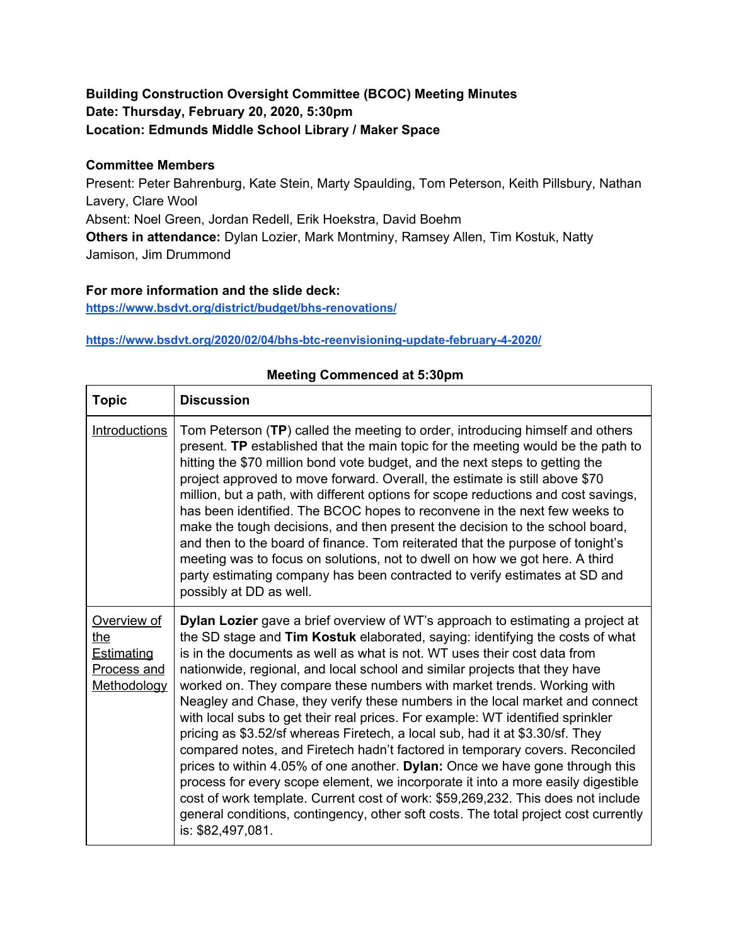# **Building Construction Oversight Committee (BCOC) Meeting Minutes Date: Thursday, February 20, 2020, 5:30pm Location: Edmunds Middle School Library / Maker Space**

## **Committee Members**

Present: Peter Bahrenburg, Kate Stein, Marty Spaulding, Tom Peterson, Keith Pillsbury, Nathan Lavery, Clare Wool Absent: Noel Green, Jordan Redell, Erik Hoekstra, David Boehm **Others in attendance:** Dylan Lozier, Mark Montminy, Ramsey Allen, Tim Kostuk, Natty Jamison, Jim Drummond

## **For more information and the slide deck:**

**<https://www.bsdvt.org/district/budget/bhs-renovations/>**

#### **<https://www.bsdvt.org/2020/02/04/bhs-btc-reenvisioning-update-february-4-2020/>**

| <b>Topic</b>                                                                 | <b>Discussion</b>                                                                                                                                                                                                                                                                                                                                                                                                                                                                                                                                                                                                                                                                                                                                                                                                                                                                                                                                                                                                                                                                                          |
|------------------------------------------------------------------------------|------------------------------------------------------------------------------------------------------------------------------------------------------------------------------------------------------------------------------------------------------------------------------------------------------------------------------------------------------------------------------------------------------------------------------------------------------------------------------------------------------------------------------------------------------------------------------------------------------------------------------------------------------------------------------------------------------------------------------------------------------------------------------------------------------------------------------------------------------------------------------------------------------------------------------------------------------------------------------------------------------------------------------------------------------------------------------------------------------------|
| <b>Introductions</b>                                                         | Tom Peterson (TP) called the meeting to order, introducing himself and others<br>present. TP established that the main topic for the meeting would be the path to<br>hitting the \$70 million bond vote budget, and the next steps to getting the<br>project approved to move forward. Overall, the estimate is still above \$70<br>million, but a path, with different options for scope reductions and cost savings,<br>has been identified. The BCOC hopes to reconvene in the next few weeks to<br>make the tough decisions, and then present the decision to the school board,<br>and then to the board of finance. Tom reiterated that the purpose of tonight's<br>meeting was to focus on solutions, not to dwell on how we got here. A third<br>party estimating company has been contracted to verify estimates at SD and<br>possibly at DD as well.                                                                                                                                                                                                                                              |
| Overview of<br>the<br><b>Estimating</b><br><b>Process and</b><br>Methodology | Dylan Lozier gave a brief overview of WT's approach to estimating a project at<br>the SD stage and Tim Kostuk elaborated, saying: identifying the costs of what<br>is in the documents as well as what is not. WT uses their cost data from<br>nationwide, regional, and local school and similar projects that they have<br>worked on. They compare these numbers with market trends. Working with<br>Neagley and Chase, they verify these numbers in the local market and connect<br>with local subs to get their real prices. For example: WT identified sprinkler<br>pricing as \$3.52/sf whereas Firetech, a local sub, had it at \$3.30/sf. They<br>compared notes, and Firetech hadn't factored in temporary covers. Reconciled<br>prices to within 4.05% of one another. Dylan: Once we have gone through this<br>process for every scope element, we incorporate it into a more easily digestible<br>cost of work template. Current cost of work: \$59,269,232. This does not include<br>general conditions, contingency, other soft costs. The total project cost currently<br>is: \$82,497,081. |

#### **Meeting Commenced at 5:30pm**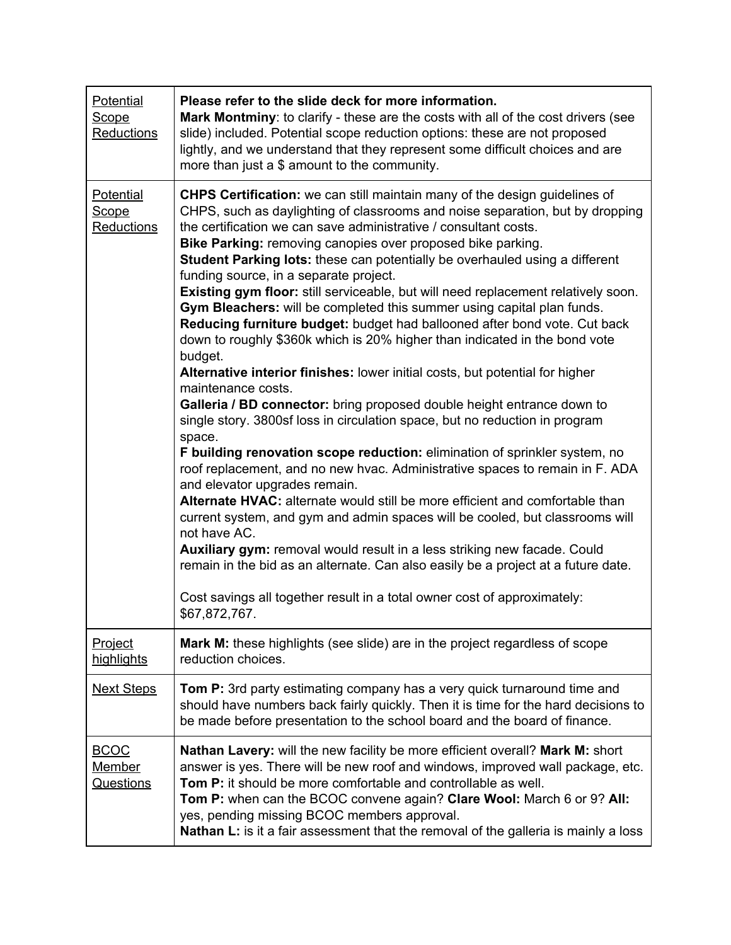| <b>Potential</b><br><b>Scope</b><br>Reductions   | Please refer to the slide deck for more information.<br>Mark Montminy: to clarify - these are the costs with all of the cost drivers (see<br>slide) included. Potential scope reduction options: these are not proposed<br>lightly, and we understand that they represent some difficult choices and are<br>more than just a \$ amount to the community.                                                                                                                                                                                                                                                                                                                                                                                                                                                                                                                                                                                                                                                                                                                                                                                                                                                                                                                                                                                                                                                                                                                                                                                                                                                                                                                                         |
|--------------------------------------------------|--------------------------------------------------------------------------------------------------------------------------------------------------------------------------------------------------------------------------------------------------------------------------------------------------------------------------------------------------------------------------------------------------------------------------------------------------------------------------------------------------------------------------------------------------------------------------------------------------------------------------------------------------------------------------------------------------------------------------------------------------------------------------------------------------------------------------------------------------------------------------------------------------------------------------------------------------------------------------------------------------------------------------------------------------------------------------------------------------------------------------------------------------------------------------------------------------------------------------------------------------------------------------------------------------------------------------------------------------------------------------------------------------------------------------------------------------------------------------------------------------------------------------------------------------------------------------------------------------------------------------------------------------------------------------------------------------|
| <b>Potential</b><br><b>Scope</b><br>Reductions   | <b>CHPS Certification:</b> we can still maintain many of the design guidelines of<br>CHPS, such as daylighting of classrooms and noise separation, but by dropping<br>the certification we can save administrative / consultant costs.<br>Bike Parking: removing canopies over proposed bike parking.<br><b>Student Parking lots:</b> these can potentially be overhauled using a different<br>funding source, in a separate project.<br>Existing gym floor: still serviceable, but will need replacement relatively soon.<br>Gym Bleachers: will be completed this summer using capital plan funds.<br>Reducing furniture budget: budget had ballooned after bond vote. Cut back<br>down to roughly \$360k which is 20% higher than indicated in the bond vote<br>budget.<br>Alternative interior finishes: lower initial costs, but potential for higher<br>maintenance costs.<br>Galleria / BD connector: bring proposed double height entrance down to<br>single story. 3800sf loss in circulation space, but no reduction in program<br>space.<br>F building renovation scope reduction: elimination of sprinkler system, no<br>roof replacement, and no new hvac. Administrative spaces to remain in F. ADA<br>and elevator upgrades remain.<br>Alternate HVAC: alternate would still be more efficient and comfortable than<br>current system, and gym and admin spaces will be cooled, but classrooms will<br>not have AC.<br>Auxiliary gym: removal would result in a less striking new facade. Could<br>remain in the bid as an alternate. Can also easily be a project at a future date.<br>Cost savings all together result in a total owner cost of approximately:<br>\$67,872,767. |
| <b>Project</b><br>highlights                     | <b>Mark M:</b> these highlights (see slide) are in the project regardless of scope<br>reduction choices.                                                                                                                                                                                                                                                                                                                                                                                                                                                                                                                                                                                                                                                                                                                                                                                                                                                                                                                                                                                                                                                                                                                                                                                                                                                                                                                                                                                                                                                                                                                                                                                         |
| <b>Next Steps</b>                                | <b>Tom P:</b> 3rd party estimating company has a very quick turnaround time and<br>should have numbers back fairly quickly. Then it is time for the hard decisions to<br>be made before presentation to the school board and the board of finance.                                                                                                                                                                                                                                                                                                                                                                                                                                                                                                                                                                                                                                                                                                                                                                                                                                                                                                                                                                                                                                                                                                                                                                                                                                                                                                                                                                                                                                               |
| <b>BCOC</b><br><b>Member</b><br><b>Questions</b> | Nathan Lavery: will the new facility be more efficient overall? Mark M: short<br>answer is yes. There will be new roof and windows, improved wall package, etc.<br>Tom P: it should be more comfortable and controllable as well.<br>Tom P: when can the BCOC convene again? Clare Wool: March 6 or 9? All:<br>yes, pending missing BCOC members approval.<br>Nathan L: is it a fair assessment that the removal of the galleria is mainly a loss                                                                                                                                                                                                                                                                                                                                                                                                                                                                                                                                                                                                                                                                                                                                                                                                                                                                                                                                                                                                                                                                                                                                                                                                                                                |